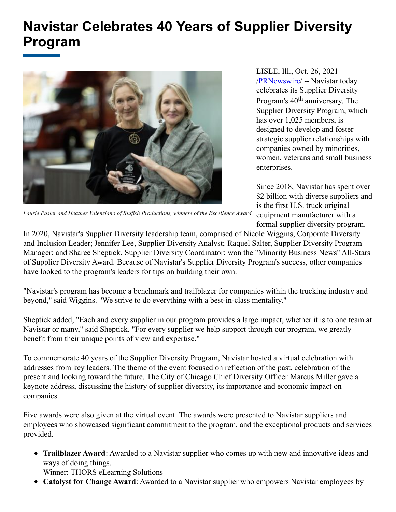## **Navistar Celebrates 40 Years of Supplier Diversity Program**



LISLE, Ill., Oct. 26, 2021 [/PRNewswire](http://www.prnewswire.com/)/ -- Navistar today celebrates its Supplier Diversity Program's 40<sup>th</sup> anniversary. The Supplier Diversity Program, which has over 1,025 members, is designed to develop and foster strategic supplier relationships with companies owned by minorities, women, veterans and small business enterprises.

Since 2018, Navistar has spent over \$2 billion with diverse suppliers and is the first U.S. truck original equipment manufacturer with a formal supplier diversity program.

*Laurie Pasler and Heather Valenziano of Blufish Productions, winners of the Excellence Award*

In 2020, Navistar's Supplier Diversity leadership team, comprised of Nicole Wiggins, Corporate Diversity and Inclusion Leader; Jennifer Lee, Supplier Diversity Analyst; Raquel Salter, Supplier Diversity Program Manager; and Sharee Sheptick, Supplier Diversity Coordinator; won the "Minority Business News" All-Stars of Supplier Diversity Award. Because of Navistar's Supplier Diversity Program's success, other companies have looked to the program's leaders for tips on building their own.

"Navistar's program has become a benchmark and trailblazer for companies within the trucking industry and beyond," said Wiggins. "We strive to do everything with a best-in-class mentality."

Sheptick added, "Each and every supplier in our program provides a large impact, whether it is to one team at Navistar or many," said Sheptick. "For every supplier we help support through our program, we greatly benefit from their unique points of view and expertise."

To commemorate 40 years of the Supplier Diversity Program, Navistar hosted a virtual celebration with addresses from key leaders. The theme of the event focused on reflection of the past, celebration of the present and looking toward the future. The City of Chicago Chief Diversity Officer Marcus Miller gave a keynote address, discussing the history of supplier diversity, its importance and economic impact on companies.

Five awards were also given at the virtual event. The awards were presented to Navistar suppliers and employees who showcased significant commitment to the program, and the exceptional products and services provided.

**Trailblazer Award**: Awarded to a Navistar supplier who comes up with new and innovative ideas and ways of doing things.

Winner: THORS eLearning Solutions

**Catalyst for Change Award**: Awarded to a Navistar supplier who empowers Navistar employees by